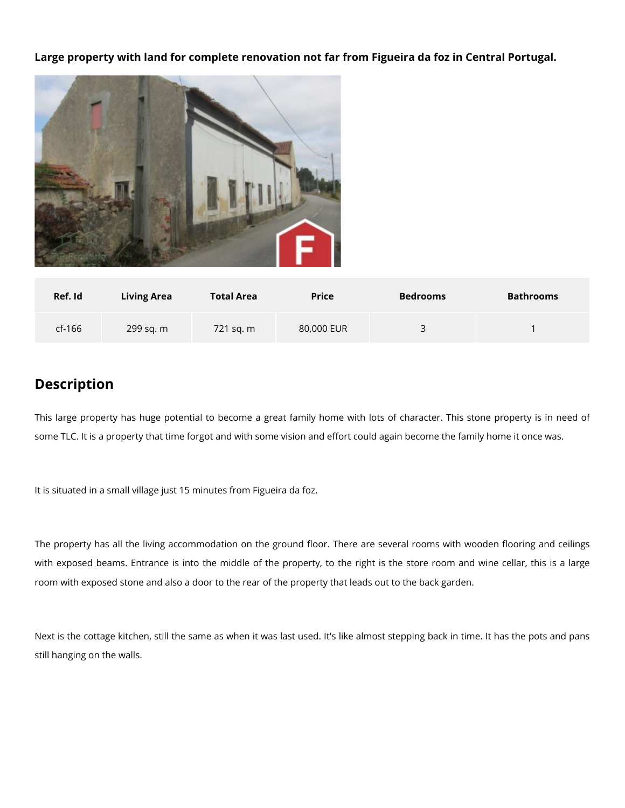**Large property with land for complete renovation not far from Figueira da foz in Central Portugal.**



| Ref. Id  | <b>Living Area</b> | <b>Total Area</b> | <b>Price</b> | <b>Bedrooms</b>          | <b>Bathrooms</b> |
|----------|--------------------|-------------------|--------------|--------------------------|------------------|
| $cf-166$ | 299 sq. m          | 721 sg. m         | 80,000 EUR   | $\overline{\phantom{a}}$ |                  |

## **Description**

This large property has huge potential to become a great family home with lots of character. This stone property is in need of some TLC. It is a property that time forgot and with some vision and effort could again become the family home it once was.

It is situated in a small village just 15 minutes from Figueira da foz.

The property has all the living accommodation on the ground floor. There are several rooms with wooden flooring and ceilings with exposed beams. Entrance is into the middle of the property, to the right is the store room and wine cellar, this is a large room with exposed stone and also a door to the rear of the property that leads out to the back garden.

Next is the cottage kitchen, still the same as when it was last used. It's like almost stepping back in time. It has the pots and pans still hanging on the walls.